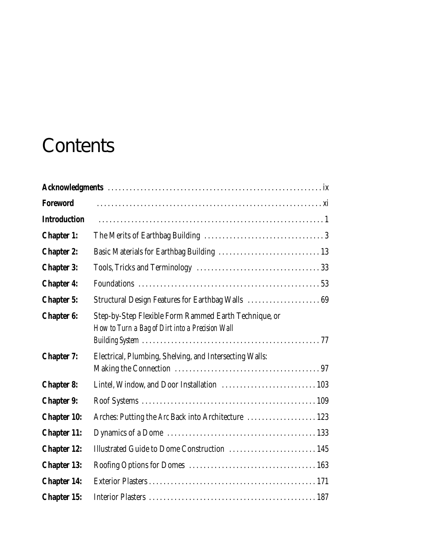## **Contents**

| Foreword            |                                                                                                          |
|---------------------|----------------------------------------------------------------------------------------------------------|
| <b>Introduction</b> |                                                                                                          |
| <b>Chapter 1:</b>   |                                                                                                          |
| <b>Chapter 2:</b>   |                                                                                                          |
| <b>Chapter 3:</b>   |                                                                                                          |
| <b>Chapter 4:</b>   |                                                                                                          |
| <b>Chapter 5:</b>   | Structural Design Features for Earthbag Walls  69                                                        |
| <b>Chapter 6:</b>   | Step-by-Step Flexible Form Rammed Earth Technique, or<br>How to Turn a Bag of Dirt into a Precision Wall |
| <b>Chapter 7:</b>   | Electrical, Plumbing, Shelving, and Intersecting Walls:                                                  |
| <b>Chapter 8:</b>   |                                                                                                          |
| <b>Chapter 9:</b>   |                                                                                                          |
| <b>Chapter 10:</b>  | Arches: Putting the Arc Back into Architecture  123                                                      |
| <b>Chapter 11:</b>  |                                                                                                          |
| <b>Chapter 12:</b>  | Illustrated Guide to Dome Construction  145                                                              |
| <b>Chapter 13:</b>  |                                                                                                          |
| <b>Chapter 14:</b>  |                                                                                                          |
| <b>Chapter 15:</b>  |                                                                                                          |